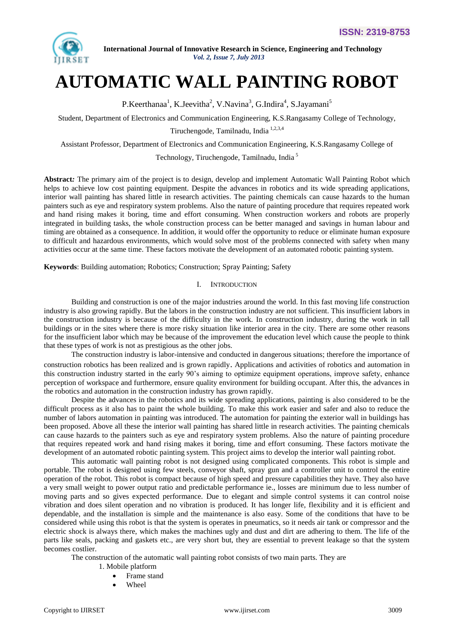

# **AUTOMATIC WALL PAINTING ROBOT**

P.Keerthanaa<sup>1</sup>, K.Jeevitha<sup>2</sup>, V.Navina<sup>3</sup>, G.Indira<sup>4</sup>, S.Jayamani<sup>5</sup>

Student, Department of Electronics and Communication Engineering, K.S.Rangasamy College of Technology,

Tiruchengode, Tamilnadu, India 1,2,3,4

Assistant Professor, Department of Electronics and Communication Engineering, K.S.Rangasamy College of

Technology, Tiruchengode, Tamilnadu, India <sup>5</sup>

**Abstract***:* The primary aim of the project is to design, develop and implement Automatic Wall Painting Robot which helps to achieve low cost painting equipment. Despite the advances in robotics and its wide spreading applications, interior wall painting has shared little in research activities. The painting chemicals can cause hazards to the human painters such as eye and respiratory system problems. Also the nature of painting procedure that requires repeated work and hand rising makes it boring, time and effort consuming. When construction workers and robots are properly integrated in building tasks, the whole construction process can be better managed and savings in human labour and timing are obtained as a consequence. In addition, it would offer the opportunity to reduce or eliminate human exposure to difficult and hazardous environments, which would solve most of the problems connected with safety when many activities occur at the same time. These factors motivate the development of an automated robotic painting system.

**Keywords**: Building automation; Robotics; Construction; Spray Painting; Safety

#### I. INTRODUCTION

Building and construction is one of the major industries around the world. In this fast moving life construction industry is also growing rapidly. But the labors in the construction industry are not sufficient. This insufficient labors in the construction industry is because of the difficulty in the work. In construction industry, during the work in tall buildings or in the sites where there is more risky situation like interior area in the city. There are some other reasons for the insufficient labor which may be because of the improvement the education level which cause the people to think that these types of work is not as prestigious as the other jobs.

The construction industry is labor-intensive and conducted in dangerous situations; therefore the importance of construction robotics has been realized and is grown rapidly. Applications and activities of robotics and automation in this construction industry started in the early 90"s aiming to optimize equipment operations, improve safety, enhance perception of workspace and furthermore, ensure quality environment for building occupant. After this, the advances in the robotics and automation in the construction industry has grown rapidly.

Despite the advances in the robotics and its wide spreading applications, painting is also considered to be the difficult process as it also has to paint the whole building. To make this work easier and safer and also to reduce the number of labors automation in painting was introduced. The automation for painting the exterior wall in buildings has been proposed. Above all these the interior wall painting has shared little in research activities. The painting chemicals can cause hazards to the painters such as eye and respiratory system problems. Also the nature of painting procedure that requires repeated work and hand rising makes it boring, time and effort consuming. These factors motivate the development of an automated robotic painting system. This project aims to develop the interior wall painting robot.

This automatic wall painting robot is not designed using complicated components. This robot is simple and portable. The robot is designed using few steels, conveyor shaft, spray gun and a controller unit to control the entire operation of the robot. This robot is compact because of high speed and pressure capabilities they have. They also have a very small weight to power output ratio and predictable performance ie., losses are minimum due to less number of moving parts and so gives expected performance. Due to elegant and simple control systems it can control noise vibration and does silent operation and no vibration is produced. It has longer life, flexibility and it is efficient and dependable, and the installation is simple and the maintenance is also easy. Some of the conditions that have to be considered while using this robot is that the system is operates in pneumatics, so it needs air tank or compressor and the electric shock is always there, which makes the machines ugly and dust and dirt are adhering to them. The life of the parts like seals, packing and gaskets etc., are very short but, they are essential to prevent leakage so that the system becomes costlier.

The construction of the automatic wall painting robot consists of two main parts. They are

- 1. Mobile platform
	- Frame stand
	- Wheel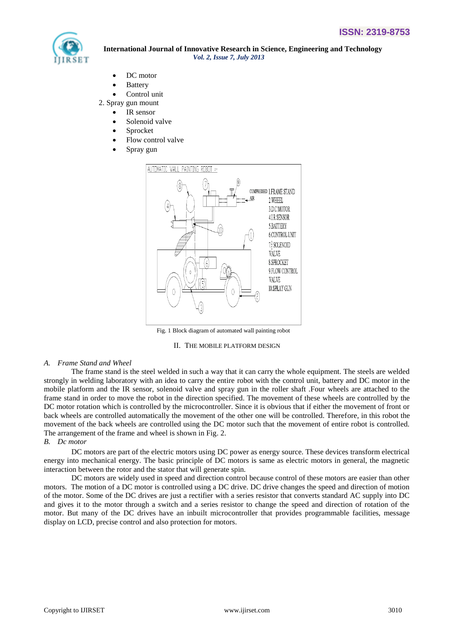

- DC motor
- Battery
- Control unit
- 2. Spray gun mount
	- IR sensor
		- Solenoid valve
		- Sprocket
		- Flow control valve
		- Spray gun



Fig. 1 Block diagram of automated wall painting robot



## *A. Frame Stand and Wheel*

The frame stand is the steel welded in such a way that it can carry the whole equipment. The steels are welded strongly in welding laboratory with an idea to carry the entire robot with the control unit, battery and DC motor in the mobile platform and the IR sensor, solenoid valve and spray gun in the roller shaft .Four wheels are attached to the frame stand in order to move the robot in the direction specified. The movement of these wheels are controlled by the DC motor rotation which is controlled by the microcontroller. Since it is obvious that if either the movement of front or back wheels are controlled automatically the movement of the other one will be controlled. Therefore, in this robot the movement of the back wheels are controlled using the DC motor such that the movement of entire robot is controlled. The arrangement of the frame and wheel is shown in Fig. 2.

## *B. Dc motor*

DC motors are part of the electric motors using DC power as energy source. These devices transform electrical energy into mechanical energy. The basic principle of DC motors is same as electric motors in general, the magnetic interaction between the rotor and the stator that will generate spin.

DC motors are widely used in speed and direction control because control of these motors are easier than other motors. The motion of a DC motor is controlled using a DC drive. DC drive changes the speed and direction of motion of the motor. Some of the DC drives are just a rectifier with a series resistor that converts standard AC supply into DC and gives it to the motor through a switch and a series resistor to change the speed and direction of rotation of the motor. But many of the DC drives have an inbuilt microcontroller that provides programmable facilities, message display on LCD, precise control and also protection for motors.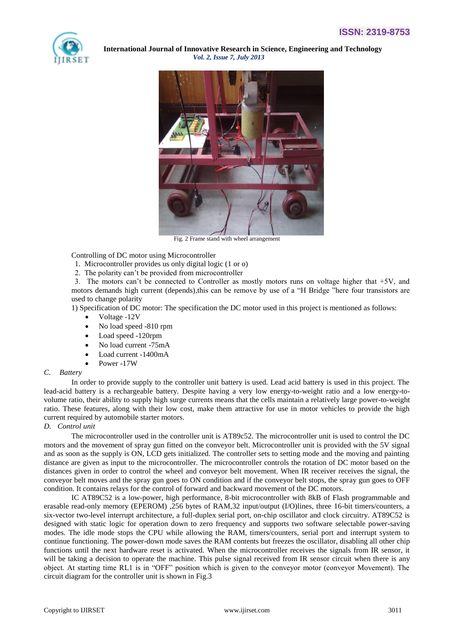



Fig. 2 Frame stand with wheel arrangement

Controlling of DC motor using Microcontroller

- 1. Microcontroller provides us only digital logic (1 or o)
- 2. The polarity can"t be provided from microcontroller

3. The motors can't be connected to Controller as mostly motors runs on voltage higher that  $+5V$ , and motors demands high current (depends),this can be remove by use of a "H Bridge "here four transistors are used to change polarity

1) Specification of DC motor: The specification the DC motor used in this project is mentioned as follows:

- Voltage -12V
- No load speed -810 rpm
- Load speed -120rpm
- No load current -75mA
- Load current -1400mA
- Power -17W

#### *C. Battery*

In order to provide supply to the controller unit battery is used. Lead acid battery is used in this project. The lead-acid battery is a rechargeable battery. Despite having a very low energy-to-weight ratio and a low energy-tovolume ratio, their ability to supply high [surge currents](http://en.wikipedia.org/wiki/Surge_current) means that the cells maintain a relatively large [power-to-weight](http://en.wikipedia.org/wiki/Power-to-weight_ratio)  [ratio.](http://en.wikipedia.org/wiki/Power-to-weight_ratio) These features, along with their low cost, make them attractive for use in motor vehicles to provide the high current required b[y automobile starter motors.](http://en.wikipedia.org/wiki/Automobile_self_starter)

# *D. Control unit*

The microcontroller used in the controller unit is AT89c52. The microcontroller unit is used to control the DC motors and the movement of spray gun fitted on the conveyor belt. Microcontroller unit is provided with the 5V signal and as soon as the supply is ON, LCD gets initialized. The controller sets to setting mode and the moving and painting distance are given as input to the microcontroller. The microcontroller controls the rotation of DC motor based on the distances given in order to control the wheel and conveyor belt movement. When IR receiver receives the signal, the conveyor belt moves and the spray gun goes to ON condition and if the conveyor belt stops, the spray gun goes to OFF condition. It contains relays for the control of forward and backward movement of the DC motors.

IC AT89C52 is a low-power, high performance, 8-bit microcontroller with 8kB of Flash programmable and erasable read-only memory (EPEROM) ,256 bytes of RAM,32 input/output (I/O)lines, three 16-bit timers/counters, a six-vector two-level interrupt architecture, a full-duplex serial port, on-chip oscillator and clock circuitry. AT89C52 is designed with static logic for operation down to zero frequency and supports two software selectable power-saving modes. The idle mode stops the CPU while allowing the RAM, timers/counters, serial port and interrupt system to continue functioning. The power-down mode saves the RAM contents but freezes the oscillator, disabling all other chip functions until the next hardware reset is activated. When the microcontroller receives the signals from IR sensor, it will be taking a decision to operate the machine. This pulse signal received from IR sensor circuit when there is any object. At starting time RL1 is in "OFF" position which is given to the conveyor motor (conveyor Movement). The circuit diagram for the controller unit is shown in Fig.3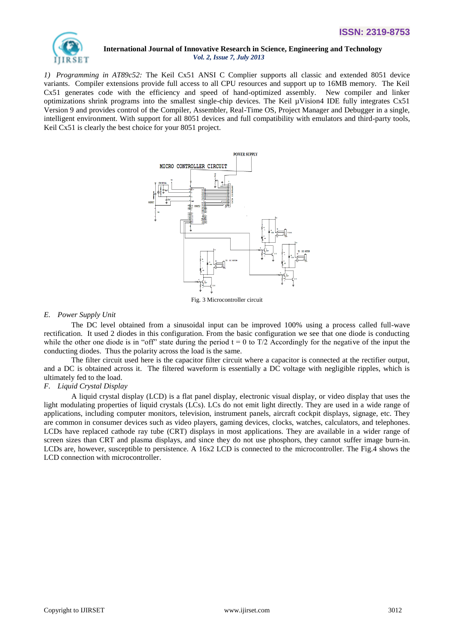

*1) Programming in AT89c52:* The Keil Cx51 ANSI C Complier supports all classic and extended 8051 device variants. Compiler extensions provide full access to all CPU resources and support up to 16MB memory. The Keil Cx51 generates code with the efficiency and speed of hand-optimized assembly. New compiler and linker optimizations shrink programs into the smallest single-chip devices. The Keil µVision4 IDE fully integrates Cx51 Version 9 and provides control of the Compiler, Assembler, Real-Time OS, Project Manager and Debugger in a single, intelligent environment. With support for all 8051 devices and full compatibility with emulators and third-party tools, Keil Cx51 is clearly the best choice for your 8051 project.



Fig. 3 Microcontroller circuit

## *E. Power Supply Unit*

The DC level obtained from a sinusoidal input can be improved 100% using a process called full-wave rectification. It used 2 diodes in this configuration. From the basic configuration we see that one diode is conducting while the other one diode is in "off" state during the period  $t = 0$  to  $T/2$  Accordingly for the negative of the input the conducting diodes. Thus the polarity across the load is the same.

The filter circuit used here is the capacitor filter circuit where a capacitor is connected at the rectifier output, and a DC is obtained across it. The filtered waveform is essentially a DC voltage with negligible ripples, which is ultimately fed to the load.

## *F. Liquid Crystal Display*

A liquid crystal display (LCD) is a [flat panel display,](http://en.wikipedia.org/wiki/Flat_panel_display) [electronic visual display,](http://en.wikipedia.org/wiki/Electronic_visual_display) or [video display](http://en.wikipedia.org/wiki/Video_display) that uses the light modulating properties of [liquid crystals](http://en.wikipedia.org/wiki/Liquid_Crystals) (LCs). LCs do not emit light directly. They are used in a wide range of applications, including [computer monitors,](http://en.wikipedia.org/wiki/Computer_monitor) [television,](http://en.wikipedia.org/wiki/Television) instrument panels, [aircraft cockpit displays,](http://en.wikipedia.org/wiki/Flight_instruments) [signage,](http://en.wikipedia.org/wiki/Signage) etc. They are common in consumer devices such as video players, gaming devices, [clocks,](http://en.wikipedia.org/wiki/Clock) watches, [calculators,](http://en.wikipedia.org/wiki/Calculator) and [telephones.](http://en.wikipedia.org/wiki/Telephone) LCDs have replaced [cathode ray tube](http://en.wikipedia.org/wiki/Cathode_ray_tube) (CRT) displays in most applications. They are available in a wider range of screen sizes than CRT and [plasma displays,](http://en.wikipedia.org/wiki/Plasma_display) and since they do not use phosphors, they cannot suffer image burn-in. LCDs are, however, susceptible to persistence. A 16x2 LCD is connected to the microcontroller. The Fig.4 shows the LCD connection with microcontroller.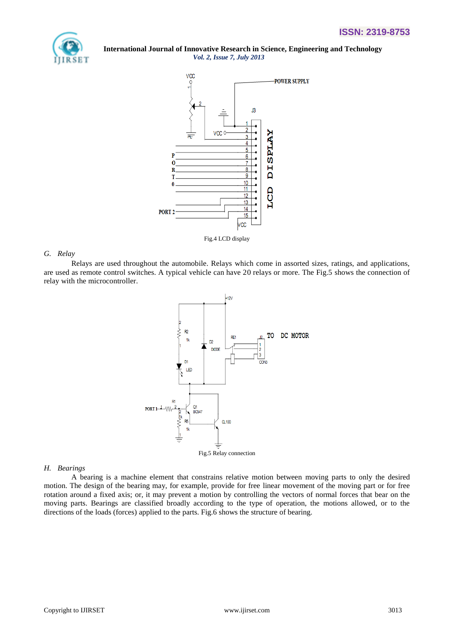



#### *G. Relay*

Relays are used throughout the automobile. Relays which come in assorted sizes, ratings, and applications, are used as remote control switches. A typical vehicle can have 20 relays or more. The Fig.5 shows the connection of relay with the microcontroller.



#### *H. Bearings*

A bearing is a [machine element](http://en.wikipedia.org/wiki/Machine_element) that constrains relative motion between [moving parts](http://en.wikipedia.org/wiki/Moving_parts) to only the desired motion. The design of the bearing may, for example, provide for free [linear](http://en.wikipedia.org/wiki/Line_%28geometry%29) movement of the moving part or for free [rotation around a fixed axis;](http://en.wikipedia.org/wiki/Rotation_around_a_fixed_axis) or, it may prevent a motion by controlling the [vectors](http://en.wikipedia.org/wiki/Vector_%28mathematics_and_physics%29) of [normal forces](http://en.wikipedia.org/wiki/Normal_force) that bear on the moving parts. Bearings are classified broadly according to the type of operation, the motions allowed, or to the directions of the loads (forces) applied to the parts. Fig.6 shows the structure of bearing.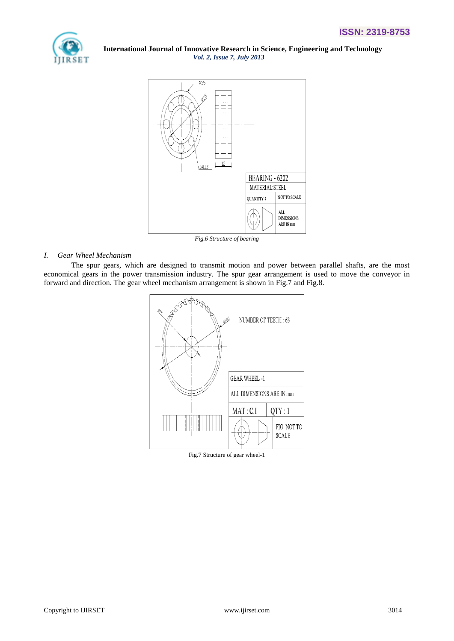



*Fig.6 Structure of bearing*

# *I. Gear Wheel Mechanism*

The spur gears, which are designed to transmit motion and power between parallel shafts, are the most economical gears in the power transmission industry. The spur gear arrangement is used to move the conveyor in forward and direction. The gear wheel mechanism arrangement is shown in Fig.7 and Fig.8.



Fig.7 Structure of gear wheel-1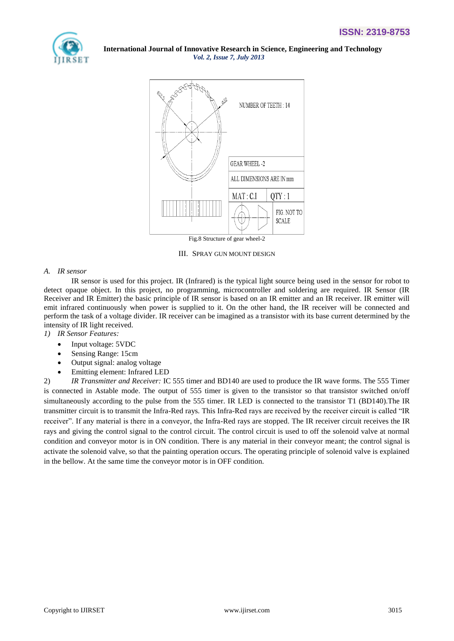



III. SPRAY GUN MOUNT DESIGN

## *A. IR sensor*

IR sensor is used for this project. IR (Infrared) is the typical light source being used in the sensor for robot to detect opaque object. In this project, no programming, microcontroller and soldering are required. IR Sensor (IR Receiver and IR Emitter) the basic principle of IR sensor is based on an IR emitter and an IR receiver. IR emitter will emit infrared continuously when power is supplied to it. On the other hand, the IR receiver will be connected and perform the task of a voltage divider. IR receiver can be imagined as a transistor with its base current determined by the intensity of IR light received.

*1) IR Sensor Features:*

- Input voltage: 5VDC
- Sensing Range: 15cm
- Output signal: analog voltage
- Emitting element: Infrared LED

2) *IR Transmitter and Receiver:* IC 555 timer and BD140 are used to produce the IR wave forms. The 555 Timer is connected in Astable mode. The output of 555 timer is given to the transistor so that transistor switched on/off simultaneously according to the pulse from the 555 timer. IR LED is connected to the transistor T1 (BD140). The IR transmitter circuit is to transmit the Infra-Red rays. This Infra-Red rays are received by the receiver circuit is called "IR receiver". If any material is there in a conveyor, the Infra-Red rays are stopped. The IR receiver circuit receives the IR rays and giving the control signal to the control circuit. The control circuit is used to off the solenoid valve at normal condition and conveyor motor is in ON condition. There is any material in their conveyor meant; the control signal is activate the solenoid valve, so that the painting operation occurs. The operating principle of solenoid valve is explained in the bellow. At the same time the conveyor motor is in OFF condition.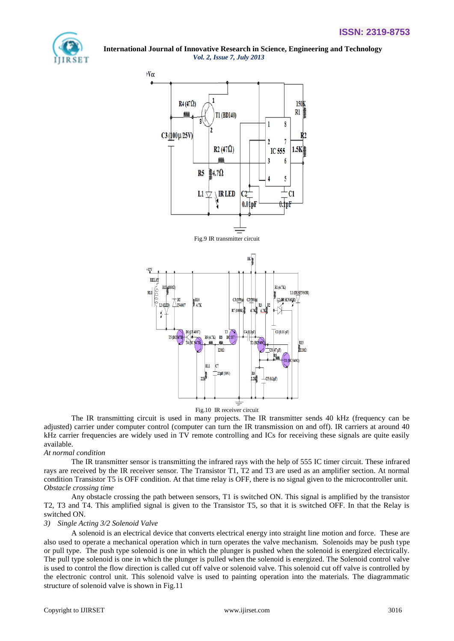



Fig.10 IR receiver circuit

The IR transmitting circuit is used in many projects. The IR transmitter sends 40 kHz (frequency can be adjusted) carrier under computer control (computer can turn the IR transmission on and off). IR carriers at around 40 kHz carrier frequencies are widely used in TV remote controlling and ICs for receiving these signals are quite easily available.

## *At normal condition*

The IR transmitter sensor is transmitting the infrared rays with the help of 555 IC timer circuit. These infrared rays are received by the IR receiver sensor. The Transistor T1, T2 and T3 are used as an amplifier section. At normal condition Transistor T5 is OFF condition. At that time relay is OFF, there is no signal given to the microcontroller unit. *Obstacle crossing time*

Any obstacle crossing the path between sensors, T1 is switched ON. This signal is amplified by the transistor T2, T3 and T4. This amplified signal is given to the Transistor T5, so that it is switched OFF. In that the Relay is switched ON.

#### *3) Single Acting 3/2 Solenoid Valve*

A solenoid is an electrical device that converts electrical energy into straight line motion and force. These are also used to operate a mechanical operation which in turn operates the valve mechanism. Solenoids may be push type or pull type. The push type solenoid is one in which the plunger is pushed when the solenoid is energized electrically. The pull type solenoid is one in which the plunger is pulled when the solenoid is energized. The Solenoid control valve is used to control the flow direction is called cut off valve or solenoid valve. This solenoid cut off valve is controlled by the electronic control unit. This solenoid valve is used to painting operation into the materials. The diagrammatic structure of solenoid valve is shown in Fig.11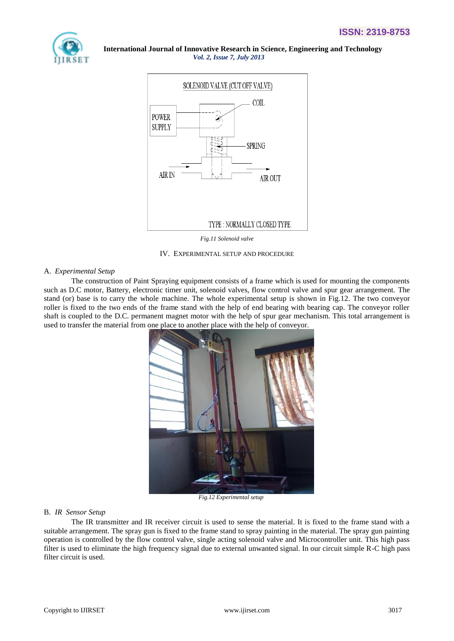



*Fig.11 Solenoid valve*

#### IV. EXPERIMENTAL SETUP AND PROCEDURE

#### A. *Experimental Setup*

The construction of Paint Spraying equipment consists of a frame which is used for mounting the components such as D.C motor, Battery, electronic timer unit, solenoid valves, flow control valve and spur gear arrangement. The stand (or) base is to carry the whole machine. The whole experimental setup is shown in Fig.12. The two conveyor roller is fixed to the two ends of the frame stand with the help of end bearing with bearing cap. The conveyor roller shaft is coupled to the D.C. permanent magnet motor with the help of spur gear mechanism. This total arrangement is used to transfer the material from one place to another place with the help of conveyor.



*Fig.12 Experimental setup*

#### B. *IR Sensor Setup*

The IR transmitter and IR receiver circuit is used to sense the material. It is fixed to the frame stand with a suitable arrangement. The spray gun is fixed to the frame stand to spray painting in the material. The spray gun painting operation is controlled by the flow control valve, single acting solenoid valve and Microcontroller unit. This high pass filter is used to eliminate the high frequency signal due to external unwanted signal. In our circuit simple R-C high pass filter circuit is used.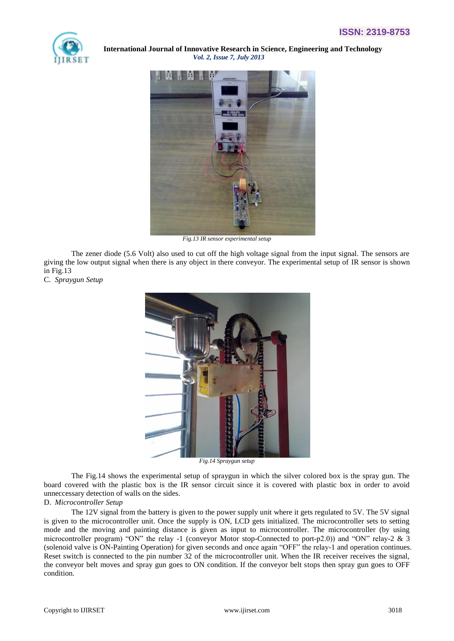



*Fig.13 IR sensor experimental setup*

The zener diode (5.6 Volt) also used to cut off the high voltage signal from the input signal. The sensors are giving the low output signal when there is any object in there conveyor. The experimental setup of IR sensor is shown in Fig.13

C. *Spraygun Setup*



*Fig.14 Spraygun setup*

The Fig.14 shows the experimental setup of spraygun in which the silver colored box is the spray gun. The board covered with the plastic box is the IR sensor circuit since it is covered with plastic box in order to avoid unneccessary detection of walls on the sides.

## D. *Microcontroller Setup*

The 12V signal from the battery is given to the power supply unit where it gets regulated to 5V. The 5V signal is given to the microcontroller unit. Once the supply is ON, LCD gets initialized. The microcontroller sets to setting mode and the moving and painting distance is given as input to microcontroller. The microcontroller (by using microcontroller program) "ON" the relay -1 (conveyor Motor stop-Connected to port-p2.0)) and "ON" relay-2 & 3 (solenoid valve is ON-Painting Operation) for given seconds and once again "OFF" the relay-1 and operation continues. Reset switch is connected to the pin number 32 of the microcontroller unit. When the IR receiver receives the signal, the conveyor belt moves and spray gun goes to ON condition. If the conveyor belt stops then spray gun goes to OFF condition.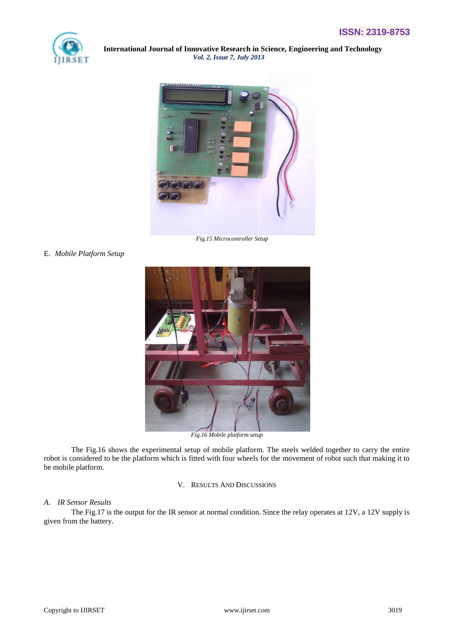



*Fig.15 Microcontroller Setup*

E. *Mobile Platform Setup*



The Fig.16 shows the experimental setup of mobile platform. The steels welded together to carry the entire robot is considered to be the platform which is fitted with four wheels for the movement of robot such that making it to be mobile platform.

V. RESULTS AND DISCUSSIONS

## *A. IR Sensor Results*

The Fig.17 is the output for the IR sensor at normal condition. Since the relay operates at 12V, a 12V supply is given from the battery.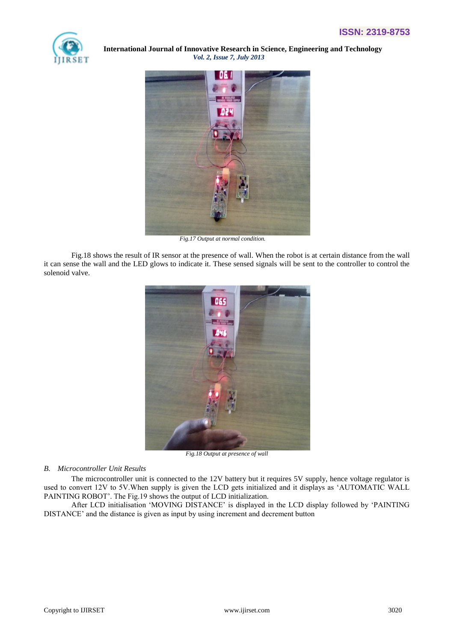



 *Fig.17 Output at normal condition.*

Fig.18 shows the result of IR sensor at the presence of wall. When the robot is at certain distance from the wall it can sense the wall and the LED glows to indicate it. These sensed signals will be sent to the controller to control the solenoid valve.



*Fig.18 Output at presence of wall*

# *B. Microcontroller Unit Results*

The microcontroller unit is connected to the 12V battery but it requires 5V supply, hence voltage regulator is used to convert 12V to 5V.When supply is given the LCD gets initialized and it displays as "AUTOMATIC WALL PAINTING ROBOT'. The Fig.19 shows the output of LCD initialization.

After LCD initialisation "MOVING DISTANCE" is displayed in the LCD display followed by "PAINTING DISTANCE' and the distance is given as input by using increment and decrement button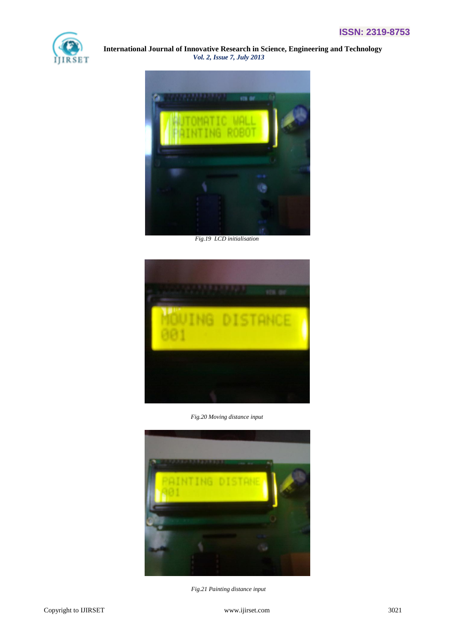



*Fig.19 LCD initialisation* 



*Fig.20 Moving distance input*



 *Fig.21 Painting distance input*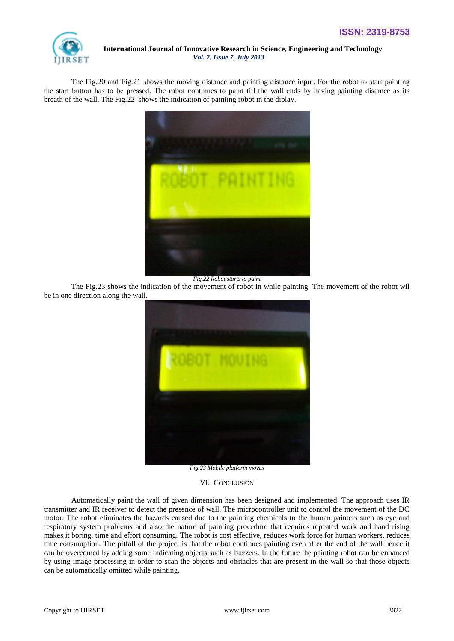

The Fig.20 and Fig.21 shows the moving distance and painting distance input. For the robot to start painting the start button has to be pressed. The robot continues to paint till the wall ends by having painting distance as its breath of the wall. The Fig.22 shows the indication of painting robot in the diplay.



*Fig.22 Robot starts to paint*

The Fig.23 shows the indication of the movement of robot in while painting. The movement of the robot wil be in one direction along the wall.



*Fig.23 Mobile platform moves*

#### VI. CONCLUSION

Automatically paint the wall of given dimension has been designed and implemented. The approach uses IR transmitter and IR receiver to detect the presence of wall. The microcontroller unit to control the movement of the DC motor. The robot eliminates the hazards caused due to the painting chemicals to the human painters such as eye and respiratory system problems and also the nature of painting procedure that requires repeated work and hand rising makes it boring, time and effort consuming. The robot is cost effective, reduces work force for human workers, reduces time consumption. The pitfall of the project is that the robot continues painting even after the end of the wall hence it can be overcomed by adding some indicating objects such as buzzers. In the future the painting robot can be enhanced by using image processing in order to scan the objects and obstacles that are present in the wall so that those objects can be automatically omitted while painting.